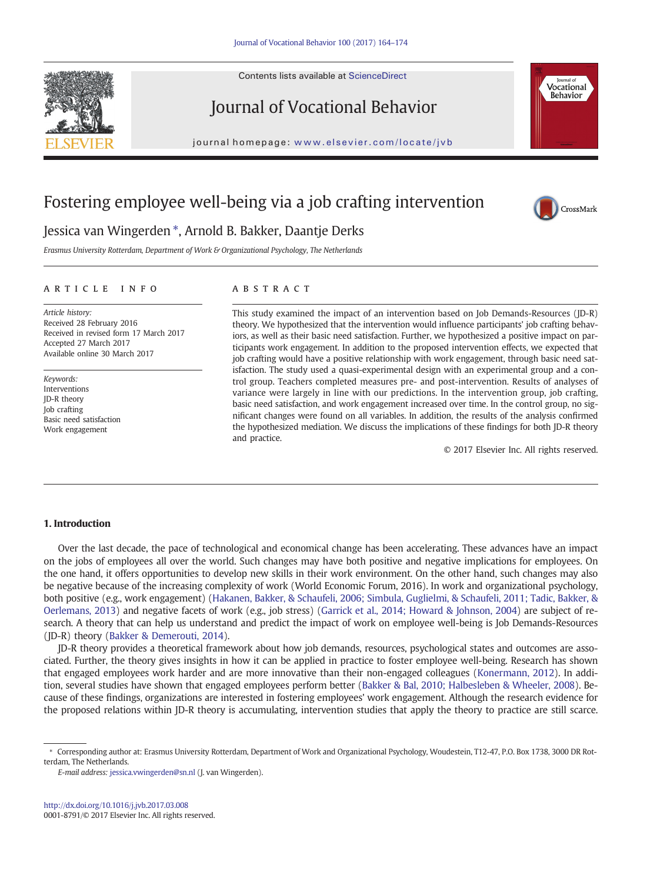Contents lists available at ScienceDirect





# Journal of Vocational Behavior

journal homepage: <www.elsevier.com/locate/jvb>b/s/ $\frac{1}{2}$ 

## Fostering employee well-being via a job crafting intervention



### Jessica van Wingerden ⁎, Arnold B. Bakker, Daantje Derks

Erasmus University Rotterdam, Department of Work & Organizational Psychology, The Netherlands

#### article info abstract

Article history: Received 28 February 2016 Received in revised form 17 March 2017 Accepted 27 March 2017 Available online 30 March 2017

Keywords: Interventions JD-R theory Job crafting Basic need satisfaction Work engagement

This study examined the impact of an intervention based on Job Demands-Resources (JD-R) theory. We hypothesized that the intervention would influence participants' job crafting behaviors, as well as their basic need satisfaction. Further, we hypothesized a positive impact on participants work engagement. In addition to the proposed intervention effects, we expected that job crafting would have a positive relationship with work engagement, through basic need satisfaction. The study used a quasi-experimental design with an experimental group and a control group. Teachers completed measures pre- and post-intervention. Results of analyses of variance were largely in line with our predictions. In the intervention group, job crafting, basic need satisfaction, and work engagement increased over time. In the control group, no significant changes were found on all variables. In addition, the results of the analysis confirmed the hypothesized mediation. We discuss the implications of these findings for both JD-R theory and practice.

© 2017 Elsevier Inc. All rights reserved.

#### 1. Introduction

Over the last decade, the pace of technological and economical change has been accelerating. These advances have an impact on the jobs of employees all over the world. Such changes may have both positive and negative implications for employees. On the one hand, it offers opportunities to develop new skills in their work environment. On the other hand, such changes may also be negative because of the increasing complexity of work (World Economic Forum, 2016). In work and organizational psychology, both positive (e.g., work engagement) ([Hakanen, Bakker, & Schaufeli, 2006; Simbula, Guglielmi, & Schaufeli, 2011; Tadic, Bakker, &](#page-9-0) [Oerlemans, 2013](#page-9-0)) and negative facets of work (e.g., job stress) [\(Garrick et al., 2014; Howard & Johnson, 2004\)](#page-9-0) are subject of research. A theory that can help us understand and predict the impact of work on employee well-being is Job Demands-Resources (JD-R) theory [\(Bakker & Demerouti, 2014](#page-9-0)).

JD-R theory provides a theoretical framework about how job demands, resources, psychological states and outcomes are associated. Further, the theory gives insights in how it can be applied in practice to foster employee well-being. Research has shown that engaged employees work harder and are more innovative than their non-engaged colleagues ([Konermann, 2012](#page-9-0)). In addition, several studies have shown that engaged employees perform better ([Bakker & Bal, 2010; Halbesleben & Wheeler, 2008\)](#page-9-0). Because of these findings, organizations are interested in fostering employees' work engagement. Although the research evidence for the proposed relations within JD-R theory is accumulating, intervention studies that apply the theory to practice are still scarce.

<sup>⁎</sup> Corresponding author at: Erasmus University Rotterdam, Department of Work and Organizational Psychology, Woudestein, T12-47, P.O. Box 1738, 3000 DR Rotterdam, The Netherlands.

E-mail address: [jessica.vwingerden@sn.nl](mailto:jessica.vwingerden@sn.nl) (J. van Wingerden).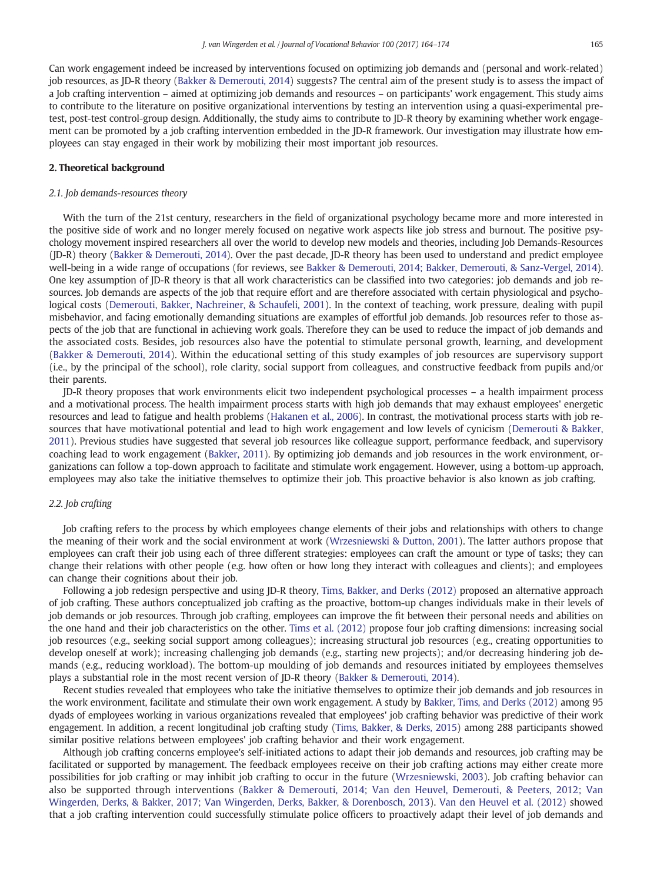Can work engagement indeed be increased by interventions focused on optimizing job demands and (personal and work-related) job resources, as JD-R theory [\(Bakker & Demerouti, 2014\)](#page-9-0) suggests? The central aim of the present study is to assess the impact of a Job crafting intervention – aimed at optimizing job demands and resources – on participants' work engagement. This study aims to contribute to the literature on positive organizational interventions by testing an intervention using a quasi-experimental pretest, post-test control-group design. Additionally, the study aims to contribute to JD-R theory by examining whether work engagement can be promoted by a job crafting intervention embedded in the JD-R framework. Our investigation may illustrate how employees can stay engaged in their work by mobilizing their most important job resources.

#### 2. Theoretical background

#### 2.1. Job demands-resources theory

With the turn of the 21st century, researchers in the field of organizational psychology became more and more interested in the positive side of work and no longer merely focused on negative work aspects like job stress and burnout. The positive psychology movement inspired researchers all over the world to develop new models and theories, including Job Demands-Resources (JD-R) theory ([Bakker & Demerouti, 2014\)](#page-9-0). Over the past decade, JD-R theory has been used to understand and predict employee well-being in a wide range of occupations (for reviews, see [Bakker & Demerouti, 2014; Bakker, Demerouti, & Sanz-Vergel, 2014](#page-9-0)). One key assumption of JD-R theory is that all work characteristics can be classified into two categories: job demands and job resources. Job demands are aspects of the job that require effort and are therefore associated with certain physiological and psychological costs [\(Demerouti, Bakker, Nachreiner, & Schaufeli, 2001](#page-9-0)). In the context of teaching, work pressure, dealing with pupil misbehavior, and facing emotionally demanding situations are examples of effortful job demands. Job resources refer to those aspects of the job that are functional in achieving work goals. Therefore they can be used to reduce the impact of job demands and the associated costs. Besides, job resources also have the potential to stimulate personal growth, learning, and development ([Bakker & Demerouti, 2014\)](#page-9-0). Within the educational setting of this study examples of job resources are supervisory support (i.e., by the principal of the school), role clarity, social support from colleagues, and constructive feedback from pupils and/or their parents.

JD-R theory proposes that work environments elicit two independent psychological processes – a health impairment process and a motivational process. The health impairment process starts with high job demands that may exhaust employees' energetic resources and lead to fatigue and health problems ([Hakanen et al., 2006](#page-9-0)). In contrast, the motivational process starts with job resources that have motivational potential and lead to high work engagement and low levels of cynicism ([Demerouti & Bakker,](#page-9-0) [2011](#page-9-0)). Previous studies have suggested that several job resources like colleague support, performance feedback, and supervisory coaching lead to work engagement [\(Bakker, 2011](#page-9-0)). By optimizing job demands and job resources in the work environment, organizations can follow a top-down approach to facilitate and stimulate work engagement. However, using a bottom-up approach, employees may also take the initiative themselves to optimize their job. This proactive behavior is also known as job crafting.

#### 2.2. Job crafting

Job crafting refers to the process by which employees change elements of their jobs and relationships with others to change the meaning of their work and the social environment at work [\(Wrzesniewski & Dutton, 2001\)](#page-10-0). The latter authors propose that employees can craft their job using each of three different strategies: employees can craft the amount or type of tasks; they can change their relations with other people (e.g. how often or how long they interact with colleagues and clients); and employees can change their cognitions about their job.

Following a job redesign perspective and using JD-R theory, [Tims, Bakker, and Derks \(2012\)](#page-9-0) proposed an alternative approach of job crafting. These authors conceptualized job crafting as the proactive, bottom-up changes individuals make in their levels of job demands or job resources. Through job crafting, employees can improve the fit between their personal needs and abilities on the one hand and their job characteristics on the other. [Tims et al. \(2012\)](#page-9-0) propose four job crafting dimensions: increasing social job resources (e.g., seeking social support among colleagues); increasing structural job resources (e.g., creating opportunities to develop oneself at work); increasing challenging job demands (e.g., starting new projects); and/or decreasing hindering job demands (e.g., reducing workload). The bottom-up moulding of job demands and resources initiated by employees themselves plays a substantial role in the most recent version of JD-R theory [\(Bakker & Demerouti, 2014](#page-9-0)).

Recent studies revealed that employees who take the initiative themselves to optimize their job demands and job resources in the work environment, facilitate and stimulate their own work engagement. A study by [Bakker, Tims, and Derks \(2012\)](#page-9-0) among 95 dyads of employees working in various organizations revealed that employees' job crafting behavior was predictive of their work engagement. In addition, a recent longitudinal job crafting study [\(Tims, Bakker, & Derks, 2015](#page-9-0)) among 288 participants showed similar positive relations between employees' job crafting behavior and their work engagement.

Although job crafting concerns employee's self-initiated actions to adapt their job demands and resources, job crafting may be facilitated or supported by management. The feedback employees receive on their job crafting actions may either create more possibilities for job crafting or may inhibit job crafting to occur in the future ([Wrzesniewski, 2003\)](#page-10-0). Job crafting behavior can also be supported through interventions [\(Bakker & Demerouti, 2014; Van den Heuvel, Demerouti, & Peeters, 2012; Van](#page-9-0) [Wingerden, Derks, & Bakker, 2017; Van Wingerden, Derks, Bakker, & Dorenbosch, 2013\)](#page-9-0). [Van den Heuvel et al. \(2012\)](#page-9-0) showed that a job crafting intervention could successfully stimulate police officers to proactively adapt their level of job demands and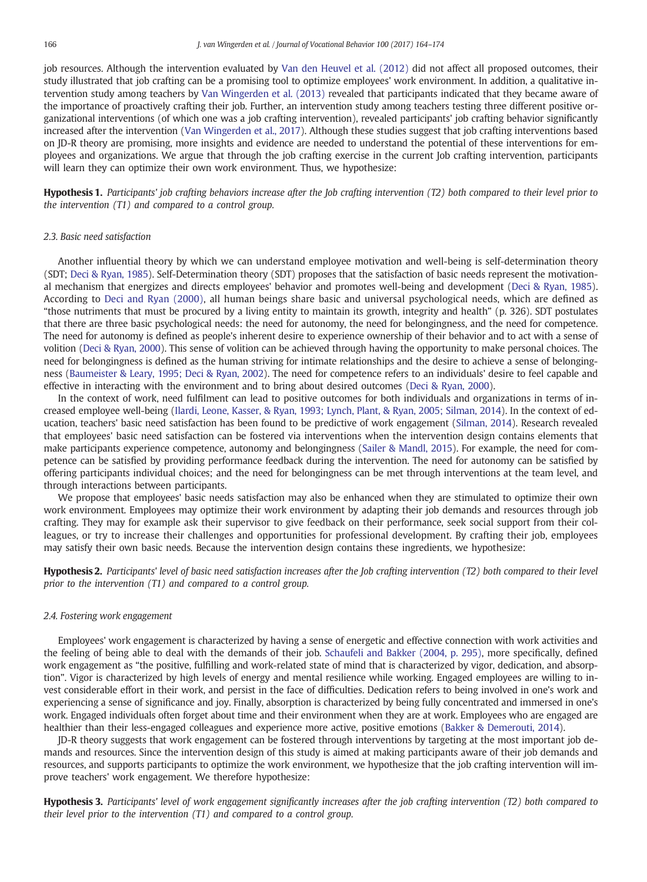<span id="page-2-0"></span>job resources. Although the intervention evaluated by [Van den Heuvel et al. \(2012\)](#page-9-0) did not affect all proposed outcomes, their study illustrated that job crafting can be a promising tool to optimize employees' work environment. In addition, a qualitative intervention study among teachers by [Van Wingerden et al. \(2013\)](#page-10-0) revealed that participants indicated that they became aware of the importance of proactively crafting their job. Further, an intervention study among teachers testing three different positive organizational interventions (of which one was a job crafting intervention), revealed participants' job crafting behavior significantly increased after the intervention [\(Van Wingerden et al., 2017\)](#page-10-0). Although these studies suggest that job crafting interventions based on JD-R theory are promising, more insights and evidence are needed to understand the potential of these interventions for employees and organizations. We argue that through the job crafting exercise in the current Job crafting intervention, participants will learn they can optimize their own work environment. Thus, we hypothesize:

Hypothesis 1. Participants' job crafting behaviors increase after the Job crafting intervention (T2) both compared to their level prior to the intervention (T1) and compared to a control group.

#### 2.3. Basic need satisfaction

Another influential theory by which we can understand employee motivation and well-being is self-determination theory (SDT; [Deci & Ryan, 1985](#page-9-0)). Self-Determination theory (SDT) proposes that the satisfaction of basic needs represent the motivational mechanism that energizes and directs employees' behavior and promotes well-being and development [\(Deci & Ryan, 1985\)](#page-9-0). According to [Deci and Ryan \(2000\)](#page-9-0), all human beings share basic and universal psychological needs, which are defined as "those nutriments that must be procured by a living entity to maintain its growth, integrity and health" (p. 326). SDT postulates that there are three basic psychological needs: the need for autonomy, the need for belongingness, and the need for competence. The need for autonomy is defined as people's inherent desire to experience ownership of their behavior and to act with a sense of volition ([Deci & Ryan, 2000\)](#page-9-0). This sense of volition can be achieved through having the opportunity to make personal choices. The need for belongingness is defined as the human striving for intimate relationships and the desire to achieve a sense of belongingness [\(Baumeister & Leary, 1995; Deci & Ryan, 2002\)](#page-9-0). The need for competence refers to an individuals' desire to feel capable and effective in interacting with the environment and to bring about desired outcomes ([Deci & Ryan, 2000\)](#page-9-0).

In the context of work, need fulfilment can lead to positive outcomes for both individuals and organizations in terms of increased employee well-being [\(Ilardi, Leone, Kasser, & Ryan, 1993; Lynch, Plant, & Ryan, 2005; Silman, 2014\)](#page-9-0). In the context of education, teachers' basic need satisfaction has been found to be predictive of work engagement ([Silman, 2014](#page-9-0)). Research revealed that employees' basic need satisfaction can be fostered via interventions when the intervention design contains elements that make participants experience competence, autonomy and belongingness ([Sailer & Mandl, 2015\)](#page-9-0). For example, the need for competence can be satisfied by providing performance feedback during the intervention. The need for autonomy can be satisfied by offering participants individual choices; and the need for belongingness can be met through interventions at the team level, and through interactions between participants.

We propose that employees' basic needs satisfaction may also be enhanced when they are stimulated to optimize their own work environment. Employees may optimize their work environment by adapting their job demands and resources through job crafting. They may for example ask their supervisor to give feedback on their performance, seek social support from their colleagues, or try to increase their challenges and opportunities for professional development. By crafting their job, employees may satisfy their own basic needs. Because the intervention design contains these ingredients, we hypothesize:

Hypothesis 2. Participants' level of basic need satisfaction increases after the Job crafting intervention (T2) both compared to their level prior to the intervention (T1) and compared to a control group.

#### 2.4. Fostering work engagement

Employees' work engagement is characterized by having a sense of energetic and effective connection with work activities and the feeling of being able to deal with the demands of their job. [Schaufeli and Bakker \(2004, p. 295\)](#page-9-0), more specifically, defined work engagement as "the positive, fulfilling and work-related state of mind that is characterized by vigor, dedication, and absorption". Vigor is characterized by high levels of energy and mental resilience while working. Engaged employees are willing to invest considerable effort in their work, and persist in the face of difficulties. Dedication refers to being involved in one's work and experiencing a sense of significance and joy. Finally, absorption is characterized by being fully concentrated and immersed in one's work. Engaged individuals often forget about time and their environment when they are at work. Employees who are engaged are healthier than their less-engaged colleagues and experience more active, positive emotions [\(Bakker & Demerouti, 2014](#page-9-0)).

JD-R theory suggests that work engagement can be fostered through interventions by targeting at the most important job demands and resources. Since the intervention design of this study is aimed at making participants aware of their job demands and resources, and supports participants to optimize the work environment, we hypothesize that the job crafting intervention will improve teachers' work engagement. We therefore hypothesize:

Hypothesis 3. Participants' level of work engagement significantly increases after the job crafting intervention (T2) both compared to their level prior to the intervention (T1) and compared to a control group.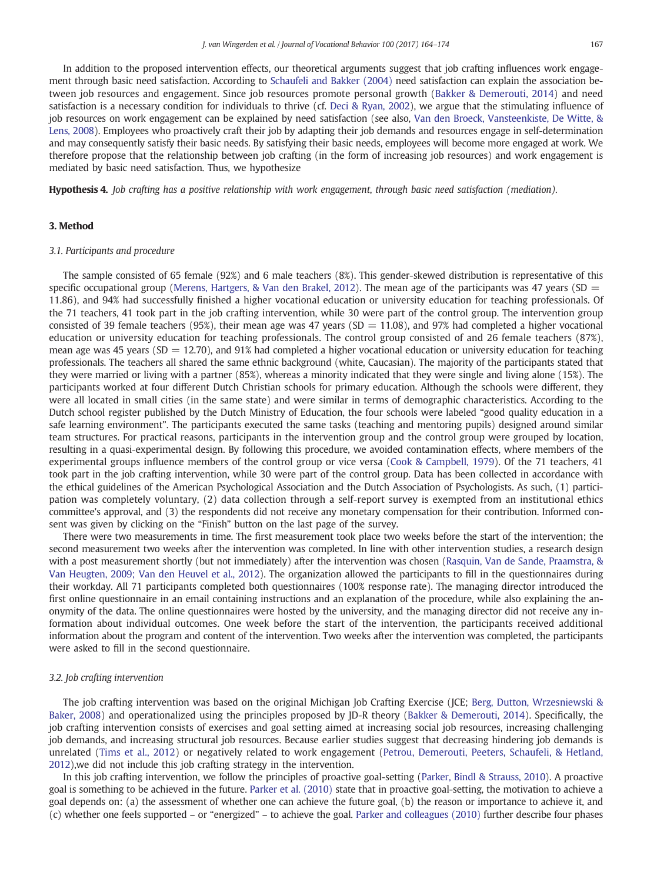<span id="page-3-0"></span>In addition to the proposed intervention effects, our theoretical arguments suggest that job crafting influences work engagement through basic need satisfaction. According to [Schaufeli and Bakker \(2004\)](#page-9-0) need satisfaction can explain the association between job resources and engagement. Since job resources promote personal growth [\(Bakker & Demerouti, 2014\)](#page-9-0) and need satisfaction is a necessary condition for individuals to thrive (cf. [Deci & Ryan, 2002\)](#page-9-0), we argue that the stimulating influence of job resources on work engagement can be explained by need satisfaction (see also, [Van den Broeck, Vansteenkiste, De Witte, &](#page-9-0) [Lens, 2008](#page-9-0)). Employees who proactively craft their job by adapting their job demands and resources engage in self-determination and may consequently satisfy their basic needs. By satisfying their basic needs, employees will become more engaged at work. We therefore propose that the relationship between job crafting (in the form of increasing job resources) and work engagement is mediated by basic need satisfaction. Thus, we hypothesize

Hypothesis 4. Job crafting has a positive relationship with work engagement, through basic need satisfaction (mediation).

#### 3. Method

#### 3.1. Participants and procedure

The sample consisted of 65 female (92%) and 6 male teachers (8%). This gender-skewed distribution is representative of this specific occupational group [\(Merens, Hartgers, & Van den Brakel, 2012\)](#page-9-0). The mean age of the participants was 47 years (SD  $=$ 11.86), and 94% had successfully finished a higher vocational education or university education for teaching professionals. Of the 71 teachers, 41 took part in the job crafting intervention, while 30 were part of the control group. The intervention group consisted of 39 female teachers (95%), their mean age was 47 years (SD = 11.08), and 97% had completed a higher vocational education or university education for teaching professionals. The control group consisted of and 26 female teachers (87%), mean age was 45 years (SD  $= 12.70$ ), and 91% had completed a higher vocational education or university education for teaching professionals. The teachers all shared the same ethnic background (white, Caucasian). The majority of the participants stated that they were married or living with a partner (85%), whereas a minority indicated that they were single and living alone (15%). The participants worked at four different Dutch Christian schools for primary education. Although the schools were different, they were all located in small cities (in the same state) and were similar in terms of demographic characteristics. According to the Dutch school register published by the Dutch Ministry of Education, the four schools were labeled "good quality education in a safe learning environment". The participants executed the same tasks (teaching and mentoring pupils) designed around similar team structures. For practical reasons, participants in the intervention group and the control group were grouped by location, resulting in a quasi-experimental design. By following this procedure, we avoided contamination effects, where members of the experimental groups influence members of the control group or vice versa ([Cook & Campbell, 1979\)](#page-9-0). Of the 71 teachers, 41 took part in the job crafting intervention, while 30 were part of the control group. Data has been collected in accordance with the ethical guidelines of the American Psychological Association and the Dutch Association of Psychologists. As such, (1) participation was completely voluntary, (2) data collection through a self-report survey is exempted from an institutional ethics committee's approval, and (3) the respondents did not receive any monetary compensation for their contribution. Informed consent was given by clicking on the "Finish" button on the last page of the survey.

There were two measurements in time. The first measurement took place two weeks before the start of the intervention; the second measurement two weeks after the intervention was completed. In line with other intervention studies, a research design with a post measurement shortly (but not immediately) after the intervention was chosen [\(Rasquin, Van de Sande, Praamstra, &](#page-9-0) [Van Heugten, 2009; Van den Heuvel et al., 2012](#page-9-0)). The organization allowed the participants to fill in the questionnaires during their workday. All 71 participants completed both questionnaires (100% response rate). The managing director introduced the first online questionnaire in an email containing instructions and an explanation of the procedure, while also explaining the anonymity of the data. The online questionnaires were hosted by the university, and the managing director did not receive any information about individual outcomes. One week before the start of the intervention, the participants received additional information about the program and content of the intervention. Two weeks after the intervention was completed, the participants were asked to fill in the second questionnaire.

#### 3.2. Job crafting intervention

The job crafting intervention was based on the original Michigan Job Crafting Exercise (JCE; [Berg, Dutton, Wrzesniewski &](#page-9-0) [Baker, 2008\)](#page-9-0) and operationalized using the principles proposed by JD-R theory [\(Bakker & Demerouti, 2014\)](#page-9-0). Specifically, the job crafting intervention consists of exercises and goal setting aimed at increasing social job resources, increasing challenging job demands, and increasing structural job resources. Because earlier studies suggest that decreasing hindering job demands is unrelated ([Tims et al., 2012\)](#page-9-0) or negatively related to work engagement [\(Petrou, Demerouti, Peeters, Schaufeli, & Hetland,](#page-9-0) [2012](#page-9-0)),we did not include this job crafting strategy in the intervention.

In this job crafting intervention, we follow the principles of proactive goal-setting ([Parker, Bindl & Strauss, 2010\)](#page-9-0). A proactive goal is something to be achieved in the future. [Parker et al. \(2010\)](#page-9-0) state that in proactive goal-setting, the motivation to achieve a goal depends on: (a) the assessment of whether one can achieve the future goal, (b) the reason or importance to achieve it, and (c) whether one feels supported – or "energized" – to achieve the goal. [Parker and colleagues \(2010\)](#page-9-0) further describe four phases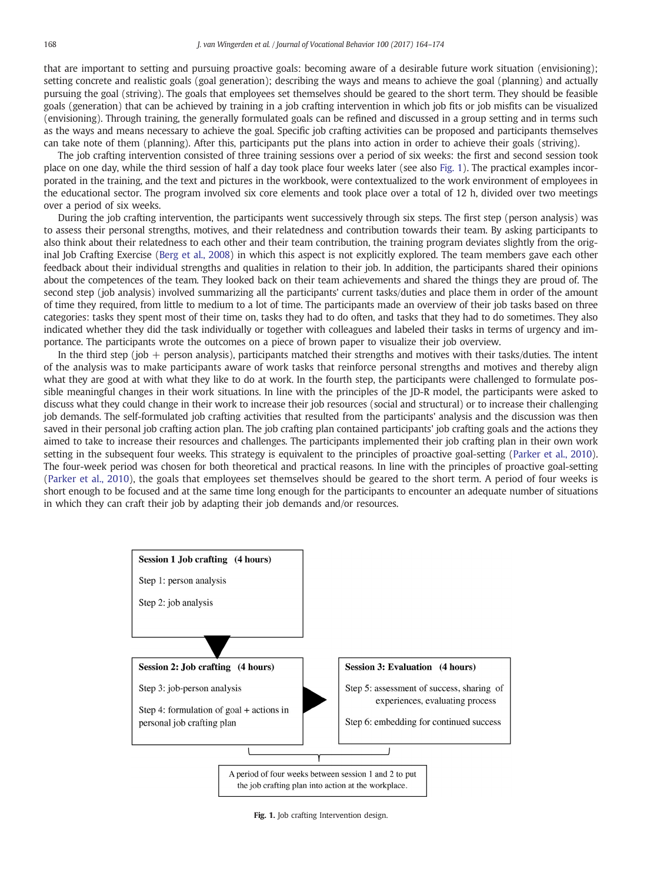<span id="page-4-0"></span>that are important to setting and pursuing proactive goals: becoming aware of a desirable future work situation (envisioning); setting concrete and realistic goals (goal generation); describing the ways and means to achieve the goal (planning) and actually pursuing the goal (striving). The goals that employees set themselves should be geared to the short term. They should be feasible goals (generation) that can be achieved by training in a job crafting intervention in which job fits or job misfits can be visualized (envisioning). Through training, the generally formulated goals can be refined and discussed in a group setting and in terms such as the ways and means necessary to achieve the goal. Specific job crafting activities can be proposed and participants themselves can take note of them (planning). After this, participants put the plans into action in order to achieve their goals (striving).

The job crafting intervention consisted of three training sessions over a period of six weeks: the first and second session took place on one day, while the third session of half a day took place four weeks later (see also Fig. 1). The practical examples incorporated in the training, and the text and pictures in the workbook, were contextualized to the work environment of employees in the educational sector. The program involved six core elements and took place over a total of 12 h, divided over two meetings over a period of six weeks.

During the job crafting intervention, the participants went successively through six steps. The first step (person analysis) was to assess their personal strengths, motives, and their relatedness and contribution towards their team. By asking participants to also think about their relatedness to each other and their team contribution, the training program deviates slightly from the original Job Crafting Exercise [\(Berg et al., 2008](#page-9-0)) in which this aspect is not explicitly explored. The team members gave each other feedback about their individual strengths and qualities in relation to their job. In addition, the participants shared their opinions about the competences of the team. They looked back on their team achievements and shared the things they are proud of. The second step (job analysis) involved summarizing all the participants' current tasks/duties and place them in order of the amount of time they required, from little to medium to a lot of time. The participants made an overview of their job tasks based on three categories: tasks they spent most of their time on, tasks they had to do often, and tasks that they had to do sometimes. They also indicated whether they did the task individually or together with colleagues and labeled their tasks in terms of urgency and importance. The participants wrote the outcomes on a piece of brown paper to visualize their job overview.

In the third step (job + person analysis), participants matched their strengths and motives with their tasks/duties. The intent of the analysis was to make participants aware of work tasks that reinforce personal strengths and motives and thereby align what they are good at with what they like to do at work. In the fourth step, the participants were challenged to formulate possible meaningful changes in their work situations. In line with the principles of the JD-R model, the participants were asked to discuss what they could change in their work to increase their job resources (social and structural) or to increase their challenging job demands. The self-formulated job crafting activities that resulted from the participants' analysis and the discussion was then saved in their personal job crafting action plan. The job crafting plan contained participants' job crafting goals and the actions they aimed to take to increase their resources and challenges. The participants implemented their job crafting plan in their own work setting in the subsequent four weeks. This strategy is equivalent to the principles of proactive goal-setting ([Parker et al., 2010\)](#page-9-0). The four-week period was chosen for both theoretical and practical reasons. In line with the principles of proactive goal-setting [\(Parker et al., 2010\)](#page-9-0), the goals that employees set themselves should be geared to the short term. A period of four weeks is short enough to be focused and at the same time long enough for the participants to encounter an adequate number of situations in which they can craft their job by adapting their job demands and/or resources.



Fig. 1. Job crafting Intervention design.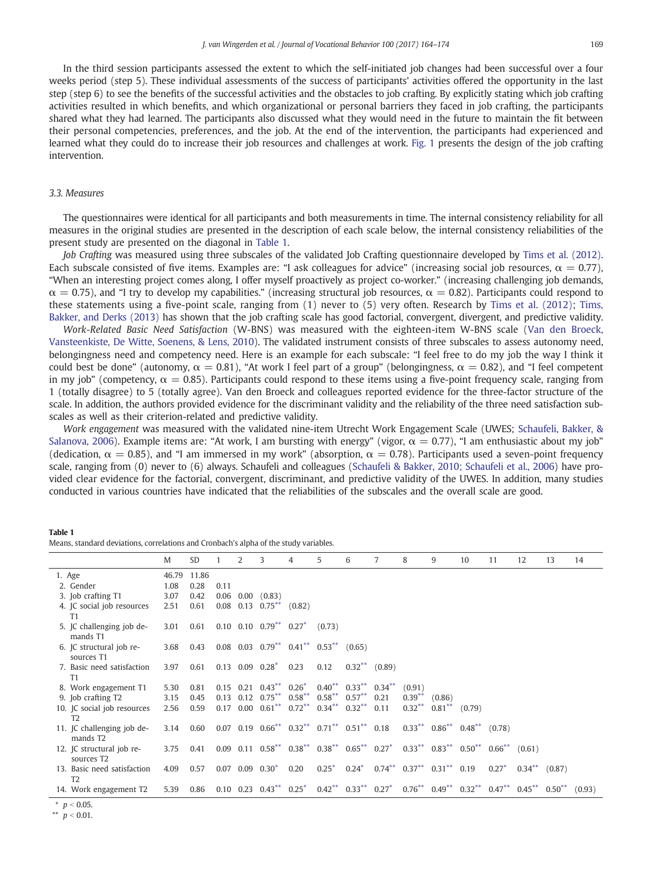<span id="page-5-0"></span>In the third session participants assessed the extent to which the self-initiated job changes had been successful over a four weeks period (step 5). These individual assessments of the success of participants' activities offered the opportunity in the last step (step 6) to see the benefits of the successful activities and the obstacles to job crafting. By explicitly stating which job crafting activities resulted in which benefits, and which organizational or personal barriers they faced in job crafting, the participants shared what they had learned. The participants also discussed what they would need in the future to maintain the fit between their personal competencies, preferences, and the job. At the end of the intervention, the participants had experienced and learned what they could do to increase their job resources and challenges at work. [Fig. 1](#page-4-0) presents the design of the job crafting intervention.

#### 3.3. Measures

The questionnaires were identical for all participants and both measurements in time. The internal consistency reliability for all measures in the original studies are presented in the description of each scale below, the internal consistency reliabilities of the present study are presented on the diagonal in Table 1.

Job Crafting was measured using three subscales of the validated Job Crafting questionnaire developed by [Tims et al. \(2012\).](#page-9-0) Each subscale consisted of five items. Examples are: "I ask colleagues for advice" (increasing social job resources,  $\alpha = 0.77$ ). "When an interesting project comes along, I offer myself proactively as project co-worker." (increasing challenging job demands,  $\alpha = 0.75$ ), and "I try to develop my capabilities." (increasing structural job resources,  $\alpha = 0.82$ ). Participants could respond to these statements using a five-point scale, ranging from (1) never to (5) very often. Research by [Tims et al. \(2012\);](#page-9-0) [Tims,](#page-9-0) [Bakker, and Derks \(2013\)](#page-9-0) has shown that the job crafting scale has good factorial, convergent, divergent, and predictive validity.

Work-Related Basic Need Satisfaction (W-BNS) was measured with the eighteen-item W-BNS scale ([Van den Broeck,](#page-9-0) [Vansteenkiste, De Witte, Soenens, & Lens, 2010\)](#page-9-0). The validated instrument consists of three subscales to assess autonomy need, belongingness need and competency need. Here is an example for each subscale: "I feel free to do my job the way I think it could best be done" (autonomy,  $\alpha = 0.81$ ), "At work I feel part of a group" (belongingness,  $\alpha = 0.82$ ), and "I feel competent in my job" (competency,  $\alpha = 0.85$ ). Participants could respond to these items using a five-point frequency scale, ranging from 1 (totally disagree) to 5 (totally agree). Van den Broeck and colleagues reported evidence for the three-factor structure of the scale. In addition, the authors provided evidence for the discriminant validity and the reliability of the three need satisfaction subscales as well as their criterion-related and predictive validity.

Work engagement was measured with the validated nine-item Utrecht Work Engagement Scale (UWES; [Schaufeli, Bakker, &](#page-9-0) [Salanova, 2006\)](#page-9-0). Example items are: "At work, I am bursting with energy" (vigor,  $\alpha = 0.77$ ), "I am enthusiastic about my job" (dedication,  $\alpha = 0.85$ ), and "I am immersed in my work" (absorption,  $\alpha = 0.78$ ). Participants used a seven-point frequency scale, ranging from (0) never to (6) always. Schaufeli and colleagues ([Schaufeli & Bakker, 2010; Schaufeli et al., 2006](#page-9-0)) have provided clear evidence for the factorial, convergent, discriminant, and predictive validity of the UWES. In addition, many studies conducted in various countries have indicated that the reliabilities of the subscales and the overall scale are good.

#### Table 1

|  |  |  |  |  | Means, standard deviations, correlations and Cronbach's alpha of the study variables. |  |  |  |  |  |  |  |  |  |  |  |  |
|--|--|--|--|--|---------------------------------------------------------------------------------------|--|--|--|--|--|--|--|--|--|--|--|--|
|--|--|--|--|--|---------------------------------------------------------------------------------------|--|--|--|--|--|--|--|--|--|--|--|--|

|        |                                                     | M             | SD            |      | 2 | 3                                                      | 4         | 5                                                                                                                                 | 6                                | 7                                                            | 8         | 9                           | 10                                           | 11        | 12                                 | 13 | 14     |
|--------|-----------------------------------------------------|---------------|---------------|------|---|--------------------------------------------------------|-----------|-----------------------------------------------------------------------------------------------------------------------------------|----------------------------------|--------------------------------------------------------------|-----------|-----------------------------|----------------------------------------------|-----------|------------------------------------|----|--------|
| 1. Age | 2. Gender                                           | 46.79<br>1.08 | 11.86<br>0.28 | 0.11 |   |                                                        |           |                                                                                                                                   |                                  |                                                              |           |                             |                                              |           |                                    |    |        |
|        | 3. Job crafting T1                                  | 3.07          | 0.42          |      |   | $0.06$ $0.00$ $(0.83)$                                 |           |                                                                                                                                   |                                  |                                                              |           |                             |                                              |           |                                    |    |        |
|        | 4. JC social job resources<br>T1                    | 2.51          | 0.61          |      |   | $0.08$ 0.13 $0.75***$ (0.82)                           |           |                                                                                                                                   |                                  |                                                              |           |                             |                                              |           |                                    |    |        |
|        | 5. IC challenging job de-<br>mands T1               | 3.01          | 0.61          |      |   | $0.10$ $0.10$ $0.79$ <sup>**</sup> $0.27$ <sup>*</sup> |           | (0.73)                                                                                                                            |                                  |                                                              |           |                             |                                              |           |                                    |    |        |
|        | 6. JC structural job re-<br>sources T1              | 3.68          | 0.43          |      |   |                                                        |           | $0.08$ $0.03$ $0.79^{**}$ $0.41^{**}$ $0.53^{**}$ $(0.65)$                                                                        |                                  |                                                              |           |                             |                                              |           |                                    |    |        |
|        | 7. Basic need satisfaction<br>T1                    | 3.97          | 0.61          |      |   | $0.13$ $0.09$ $0.28^*$ $0.23$                          |           | 0.12                                                                                                                              | $0.32***$ (0.89)                 |                                                              |           |                             |                                              |           |                                    |    |        |
|        | 8. Work engagement T1                               | 5.30          | 0.81          |      |   | $0.15$ $0.21$ $0.43***$                                | $0.26*$   | $0.40***$                                                                                                                         | $0.33***$                        | $0.34***$                                                    | (0.91)    |                             |                                              |           |                                    |    |        |
|        | 9. Job crafting T2                                  | 3.15          | 0.45          |      |   | $0.13$ $0.12$ $0.75***$                                | $0.58***$ | $0.58***$                                                                                                                         | $0.57***$                        | 0.21                                                         | $0.39***$ | (0.86)                      |                                              |           |                                    |    |        |
|        | 10. JC social job resources<br>T <sub>2</sub>       | 2.56          | 0.59          |      |   |                                                        |           | $0.17$ $0.00$ $0.61^{**}$ $0.72^{**}$ $0.34^{**}$                                                                                 | $0.32***$                        | 0.11                                                         | $0.32***$ | $0.81$ <sup>**</sup> (0.79) |                                              |           |                                    |    |        |
|        | 11. JC challenging job de-<br>mands T <sub>2</sub>  | 3.14          | 0.60          |      |   |                                                        |           | $0.07$ $0.19$ $0.66^{**}$ $0.32^{**}$ $0.71^{**}$ $0.51^{**}$ $0.18$                                                              |                                  |                                                              |           |                             | $0.33^{**}$ $0.86^{**}$ $0.48^{**}$ $(0.78)$ |           |                                    |    |        |
|        | 12. JC structural job re-<br>sources T <sub>2</sub> | 3.75          | 0.41          |      |   |                                                        |           | $0.09$ $0.11$ $0.58^{**}$ $0.38^{**}$ $0.38^{**}$ $0.65^{**}$ $0.27^{*}$ $0.33^{**}$ $0.83^{**}$ $0.50^{**}$ $0.66^{**}$ $(0.61)$ |                                  |                                                              |           |                             |                                              |           |                                    |    |        |
|        | 13. Basic need satisfaction<br>T <sub>2</sub>       | 4.09          | 0.57          |      |   | $0.07$ 0.09 $0.30^*$                                   | 0.20      |                                                                                                                                   |                                  | $0.25^*$ $0.24^*$ $0.74^{**}$ $0.37^{**}$ $0.31^{**}$ $0.19$ |           |                             |                                              |           | $0.27^*$ 0.34 <sup>**</sup> (0.87) |    |        |
|        | 14. Work engagement T2                              | 5.39          | 0.86          |      |   | $0.10$ $0.23$ $0.43^{**}$ $0.25^{*}$                   |           |                                                                                                                                   | $0.42^{**}$ $0.33^{**}$ $0.27^*$ |                                                              |           |                             | $0.76^{**}$ $0.49^{**}$ $0.32^{**}$          | $0.47***$ | $0.45***$ $0.50**$                 |    | (0.93) |

 $p < 0.05$ .

\*\*  $p < 0.01$ .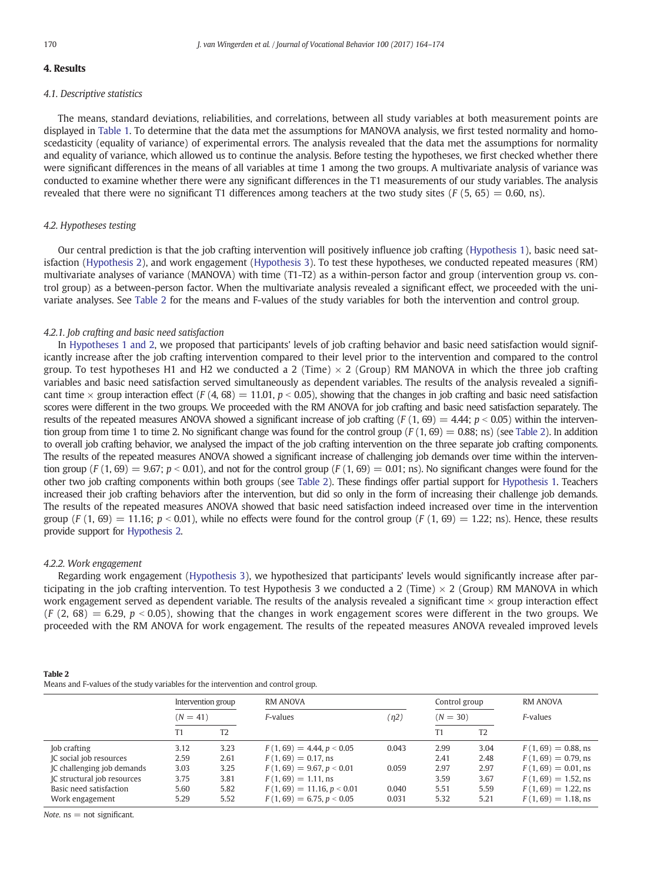#### 4. Results

#### 4.1. Descriptive statistics

The means, standard deviations, reliabilities, and correlations, between all study variables at both measurement points are displayed in [Table 1.](#page-5-0) To determine that the data met the assumptions for MANOVA analysis, we first tested normality and homoscedasticity (equality of variance) of experimental errors. The analysis revealed that the data met the assumptions for normality and equality of variance, which allowed us to continue the analysis. Before testing the hypotheses, we first checked whether there were significant differences in the means of all variables at time 1 among the two groups. A multivariate analysis of variance was conducted to examine whether there were any significant differences in the T1 measurements of our study variables. The analysis revealed that there were no significant T1 differences among teachers at the two study sites ( $F(5, 65) = 0.60$ , ns).

#### 4.2. Hypotheses testing

Our central prediction is that the job crafting intervention will positively influence job crafting [\(Hypothesis 1\)](#page-2-0), basic need satisfaction ([Hypothesis 2](#page-2-0)), and work engagement ([Hypothesis 3](#page-2-0)). To test these hypotheses, we conducted repeated measures (RM) multivariate analyses of variance (MANOVA) with time (T1-T2) as a within-person factor and group (intervention group vs. control group) as a between-person factor. When the multivariate analysis revealed a significant effect, we proceeded with the univariate analyses. See Table 2 for the means and F-values of the study variables for both the intervention and control group.

### 4.2.1. Job crafting and basic need satisfaction

In [Hypotheses 1 and 2,](#page-2-0) we proposed that participants' levels of job crafting behavior and basic need satisfaction would significantly increase after the job crafting intervention compared to their level prior to the intervention and compared to the control group. To test hypotheses H1 and H2 we conducted a 2 (Time)  $\times$  2 (Group) RM MANOVA in which the three job crafting variables and basic need satisfaction served simultaneously as dependent variables. The results of the analysis revealed a significant time  $\times$  group interaction effect (F (4, 68) = 11.01, p < 0.05), showing that the changes in job crafting and basic need satisfaction scores were different in the two groups. We proceeded with the RM ANOVA for job crafting and basic need satisfaction separately. The results of the repeated measures ANOVA showed a significant increase of job crafting (F  $(1, 69) = 4.44$ ;  $p < 0.05$ ) within the intervention group from time 1 to time 2. No significant change was found for the control group ( $F(1, 69) = 0.88$ ; ns) (see Table 2). In addition to overall job crafting behavior, we analysed the impact of the job crafting intervention on the three separate job crafting components. The results of the repeated measures ANOVA showed a significant increase of challenging job demands over time within the intervention group  $(F(1, 69) = 9.67; p < 0.01)$ , and not for the control group  $(F(1, 69) = 0.01;$  ns). No significant changes were found for the other two job crafting components within both groups (see Table 2). These findings offer partial support for [Hypothesis 1](#page-2-0). Teachers increased their job crafting behaviors after the intervention, but did so only in the form of increasing their challenge job demands. The results of the repeated measures ANOVA showed that basic need satisfaction indeed increased over time in the intervention group (F (1, 69) = 11.16;  $p < 0.01$ ), while no effects were found for the control group (F (1, 69) = 1.22; ns). Hence, these results provide support for [Hypothesis 2.](#page-2-0)

#### 4.2.2. Work engagement

Regarding work engagement [\(Hypothesis 3](#page-2-0)), we hypothesized that participants' levels would significantly increase after participating in the job crafting intervention. To test Hypothesis 3 we conducted a 2 (Time)  $\times$  2 (Group) RM MANOVA in which work engagement served as dependent variable. The results of the analysis revealed a significant time  $\times$  group interaction effect  $(F (2, 68) = 6.29, p < 0.05)$ , showing that the changes in work engagement scores were different in the two groups. We proceeded with the RM ANOVA for work engagement. The results of the repeated measures ANOVA revealed improved levels

| Table 2                                                                           |  |
|-----------------------------------------------------------------------------------|--|
| Means and F-values of the study variables for the intervention and control group. |  |

|                                    |            | Intervention group | <b>RM ANOVA</b>              |       | Control group |      | RM ANOVA               |  |  |
|------------------------------------|------------|--------------------|------------------------------|-------|---------------|------|------------------------|--|--|
|                                    | $(N = 41)$ |                    | F-values                     | (n2)  | $(N = 30)$    |      | F-values               |  |  |
|                                    | Τ1         | T2                 |                              |       |               | T2   |                        |  |  |
| Job crafting                       | 3.12       | 3.23               | $F(1, 69) = 4.44, p < 0.05$  | 0.043 | 2.99          | 3.04 | $F(1, 69) = 0.88$ , ns |  |  |
| IC social job resources            | 2.59       | 2.61               | $F(1, 69) = 0.17$ , ns       |       | 2.41          | 2.48 | $F(1, 69) = 0.79$ , ns |  |  |
| IC challenging job demands         | 3.03       | 3.25               | $F(1, 69) = 9.67, p < 0.01$  | 0.059 | 2.97          | 2.97 | $F(1, 69) = 0.01$ , ns |  |  |
| <b>IC</b> structural job resources | 3.75       | 3.81               | $F(1, 69) = 1.11$ , ns       |       | 3.59          | 3.67 | $F(1, 69) = 1.52$ , ns |  |  |
| Basic need satisfaction            | 5.60       | 5.82               | $F(1, 69) = 11.16, p < 0.01$ | 0.040 | 5.51          | 5.59 | $F(1, 69) = 1.22$ , ns |  |  |
| Work engagement                    | 5.29       | 5.52               | $F(1, 69) = 6.75, p < 0.05$  | 0.031 | 5.32          | 5.21 | $F(1, 69) = 1.18$ , ns |  |  |

Note,  $ns = not$  significant.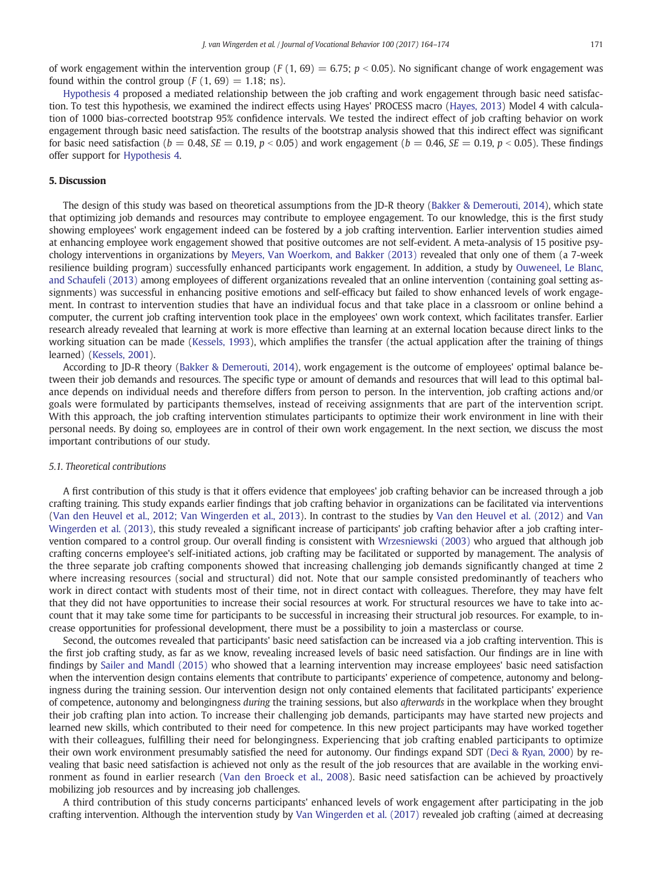of work engagement within the intervention group (F (1, 69) = 6.75;  $p < 0.05$ ). No significant change of work engagement was found within the control group  $(F(1, 69) = 1.18; \text{ns})$ .

[Hypothesis 4](#page-3-0) proposed a mediated relationship between the job crafting and work engagement through basic need satisfaction. To test this hypothesis, we examined the indirect effects using Hayes' PROCESS macro [\(Hayes, 2013](#page-9-0)) Model 4 with calculation of 1000 bias-corrected bootstrap 95% confidence intervals. We tested the indirect effect of job crafting behavior on work engagement through basic need satisfaction. The results of the bootstrap analysis showed that this indirect effect was significant for basic need satisfaction ( $b = 0.48$ ,  $SE = 0.19$ ,  $p < 0.05$ ) and work engagement ( $b = 0.46$ ,  $SE = 0.19$ ,  $p < 0.05$ ). These findings offer support for [Hypothesis 4.](#page-3-0)

#### 5. Discussion

The design of this study was based on theoretical assumptions from the JD-R theory [\(Bakker & Demerouti, 2014](#page-9-0)), which state that optimizing job demands and resources may contribute to employee engagement. To our knowledge, this is the first study showing employees' work engagement indeed can be fostered by a job crafting intervention. Earlier intervention studies aimed at enhancing employee work engagement showed that positive outcomes are not self-evident. A meta-analysis of 15 positive psychology interventions in organizations by [Meyers, Van Woerkom, and Bakker \(2013\)](#page-9-0) revealed that only one of them (a 7-week resilience building program) successfully enhanced participants work engagement. In addition, a study by [Ouweneel, Le Blanc,](#page-9-0) [and Schaufeli \(2013\)](#page-9-0) among employees of different organizations revealed that an online intervention (containing goal setting assignments) was successful in enhancing positive emotions and self-efficacy but failed to show enhanced levels of work engagement. In contrast to intervention studies that have an individual focus and that take place in a classroom or online behind a computer, the current job crafting intervention took place in the employees' own work context, which facilitates transfer. Earlier research already revealed that learning at work is more effective than learning at an external location because direct links to the working situation can be made ([Kessels, 1993](#page-9-0)), which amplifies the transfer (the actual application after the training of things learned) ([Kessels, 2001\)](#page-9-0).

According to JD-R theory [\(Bakker & Demerouti, 2014\)](#page-9-0), work engagement is the outcome of employees' optimal balance between their job demands and resources. The specific type or amount of demands and resources that will lead to this optimal balance depends on individual needs and therefore differs from person to person. In the intervention, job crafting actions and/or goals were formulated by participants themselves, instead of receiving assignments that are part of the intervention script. With this approach, the job crafting intervention stimulates participants to optimize their work environment in line with their personal needs. By doing so, employees are in control of their own work engagement. In the next section, we discuss the most important contributions of our study.

#### 5.1. Theoretical contributions

A first contribution of this study is that it offers evidence that employees' job crafting behavior can be increased through a job crafting training. This study expands earlier findings that job crafting behavior in organizations can be facilitated via interventions ([Van den Heuvel et al., 2012; Van Wingerden et al., 2013\)](#page-9-0). In contrast to the studies by [Van den Heuvel et al. \(2012\)](#page-9-0) and [Van](#page-10-0) [Wingerden et al. \(2013\),](#page-10-0) this study revealed a significant increase of participants' job crafting behavior after a job crafting intervention compared to a control group. Our overall finding is consistent with [Wrzesniewski \(2003\)](#page-10-0) who argued that although job crafting concerns employee's self-initiated actions, job crafting may be facilitated or supported by management. The analysis of the three separate job crafting components showed that increasing challenging job demands significantly changed at time 2 where increasing resources (social and structural) did not. Note that our sample consisted predominantly of teachers who work in direct contact with students most of their time, not in direct contact with colleagues. Therefore, they may have felt that they did not have opportunities to increase their social resources at work. For structural resources we have to take into account that it may take some time for participants to be successful in increasing their structural job resources. For example, to increase opportunities for professional development, there must be a possibility to join a masterclass or course.

Second, the outcomes revealed that participants' basic need satisfaction can be increased via a job crafting intervention. This is the first job crafting study, as far as we know, revealing increased levels of basic need satisfaction. Our findings are in line with findings by [Sailer and Mandl \(2015\)](#page-9-0) who showed that a learning intervention may increase employees' basic need satisfaction when the intervention design contains elements that contribute to participants' experience of competence, autonomy and belongingness during the training session. Our intervention design not only contained elements that facilitated participants' experience of competence, autonomy and belongingness during the training sessions, but also afterwards in the workplace when they brought their job crafting plan into action. To increase their challenging job demands, participants may have started new projects and learned new skills, which contributed to their need for competence. In this new project participants may have worked together with their colleagues, fulfilling their need for belongingness. Experiencing that job crafting enabled participants to optimize their own work environment presumably satisfied the need for autonomy. Our findings expand SDT [\(Deci & Ryan, 2000](#page-9-0)) by revealing that basic need satisfaction is achieved not only as the result of the job resources that are available in the working environment as found in earlier research ([Van den Broeck et al., 2008](#page-9-0)). Basic need satisfaction can be achieved by proactively mobilizing job resources and by increasing job challenges.

A third contribution of this study concerns participants' enhanced levels of work engagement after participating in the job crafting intervention. Although the intervention study by [Van Wingerden et al. \(2017\)](#page-10-0) revealed job crafting (aimed at decreasing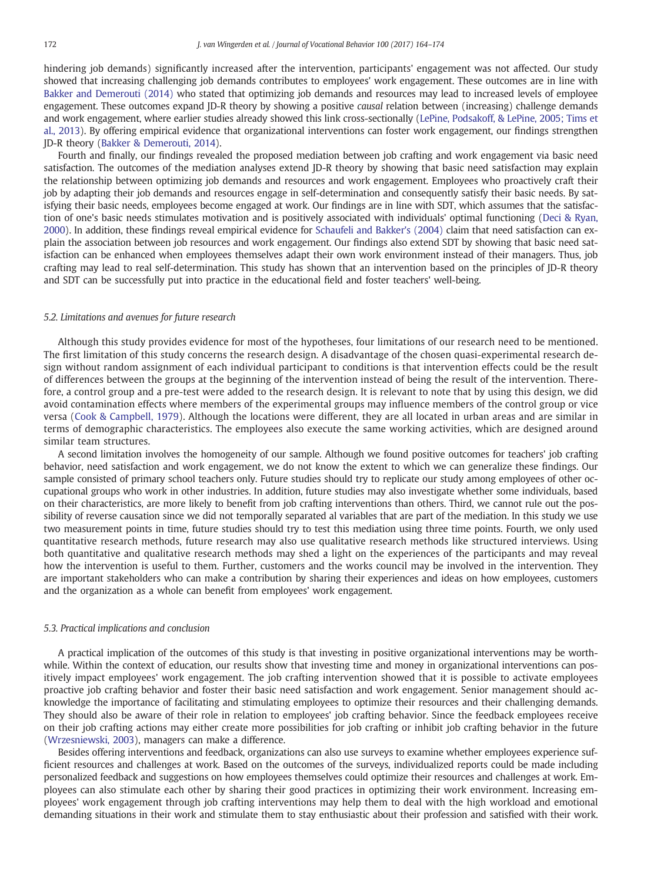hindering job demands) significantly increased after the intervention, participants' engagement was not affected. Our study showed that increasing challenging job demands contributes to employees' work engagement. These outcomes are in line with [Bakker and Demerouti \(2014\)](#page-9-0) who stated that optimizing job demands and resources may lead to increased levels of employee engagement. These outcomes expand JD-R theory by showing a positive causal relation between (increasing) challenge demands and work engagement, where earlier studies already showed this link cross-sectionally [\(LePine, Podsakoff, & LePine, 2005; Tims et](#page-9-0) [al., 2013](#page-9-0)). By offering empirical evidence that organizational interventions can foster work engagement, our findings strengthen JD-R theory [\(Bakker & Demerouti, 2014](#page-9-0)).

Fourth and finally, our findings revealed the proposed mediation between job crafting and work engagement via basic need satisfaction. The outcomes of the mediation analyses extend JD-R theory by showing that basic need satisfaction may explain the relationship between optimizing job demands and resources and work engagement. Employees who proactively craft their job by adapting their job demands and resources engage in self-determination and consequently satisfy their basic needs. By satisfying their basic needs, employees become engaged at work. Our findings are in line with SDT, which assumes that the satisfaction of one's basic needs stimulates motivation and is positively associated with individuals' optimal functioning ([Deci & Ryan,](#page-9-0) [2000\)](#page-9-0). In addition, these findings reveal empirical evidence for [Schaufeli and Bakker's \(2004\)](#page-9-0) claim that need satisfaction can explain the association between job resources and work engagement. Our findings also extend SDT by showing that basic need satisfaction can be enhanced when employees themselves adapt their own work environment instead of their managers. Thus, job crafting may lead to real self-determination. This study has shown that an intervention based on the principles of JD-R theory and SDT can be successfully put into practice in the educational field and foster teachers' well-being.

#### 5.2. Limitations and avenues for future research

Although this study provides evidence for most of the hypotheses, four limitations of our research need to be mentioned. The first limitation of this study concerns the research design. A disadvantage of the chosen quasi-experimental research design without random assignment of each individual participant to conditions is that intervention effects could be the result of differences between the groups at the beginning of the intervention instead of being the result of the intervention. Therefore, a control group and a pre-test were added to the research design. It is relevant to note that by using this design, we did avoid contamination effects where members of the experimental groups may influence members of the control group or vice versa ([Cook & Campbell, 1979](#page-9-0)). Although the locations were different, they are all located in urban areas and are similar in terms of demographic characteristics. The employees also execute the same working activities, which are designed around similar team structures.

A second limitation involves the homogeneity of our sample. Although we found positive outcomes for teachers' job crafting behavior, need satisfaction and work engagement, we do not know the extent to which we can generalize these findings. Our sample consisted of primary school teachers only. Future studies should try to replicate our study among employees of other occupational groups who work in other industries. In addition, future studies may also investigate whether some individuals, based on their characteristics, are more likely to benefit from job crafting interventions than others. Third, we cannot rule out the possibility of reverse causation since we did not temporally separated al variables that are part of the mediation. In this study we use two measurement points in time, future studies should try to test this mediation using three time points. Fourth, we only used quantitative research methods, future research may also use qualitative research methods like structured interviews. Using both quantitative and qualitative research methods may shed a light on the experiences of the participants and may reveal how the intervention is useful to them. Further, customers and the works council may be involved in the intervention. They are important stakeholders who can make a contribution by sharing their experiences and ideas on how employees, customers and the organization as a whole can benefit from employees' work engagement.

#### 5.3. Practical implications and conclusion

A practical implication of the outcomes of this study is that investing in positive organizational interventions may be worthwhile. Within the context of education, our results show that investing time and money in organizational interventions can positively impact employees' work engagement. The job crafting intervention showed that it is possible to activate employees proactive job crafting behavior and foster their basic need satisfaction and work engagement. Senior management should acknowledge the importance of facilitating and stimulating employees to optimize their resources and their challenging demands. They should also be aware of their role in relation to employees' job crafting behavior. Since the feedback employees receive on their job crafting actions may either create more possibilities for job crafting or inhibit job crafting behavior in the future [\(Wrzesniewski, 2003\)](#page-10-0), managers can make a difference.

Besides offering interventions and feedback, organizations can also use surveys to examine whether employees experience sufficient resources and challenges at work. Based on the outcomes of the surveys, individualized reports could be made including personalized feedback and suggestions on how employees themselves could optimize their resources and challenges at work. Employees can also stimulate each other by sharing their good practices in optimizing their work environment. Increasing employees' work engagement through job crafting interventions may help them to deal with the high workload and emotional demanding situations in their work and stimulate them to stay enthusiastic about their profession and satisfied with their work.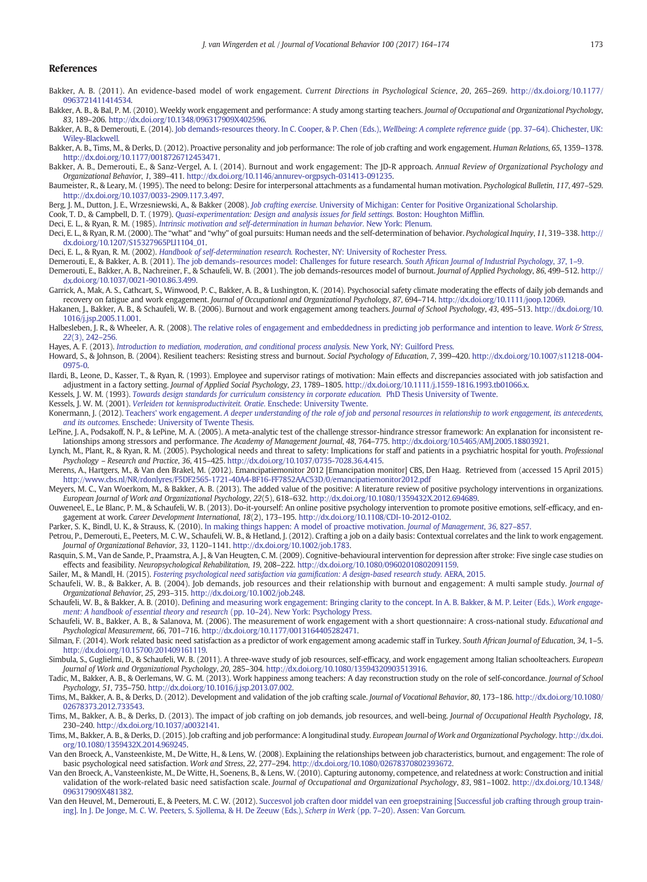#### <span id="page-9-0"></span>References

- Bakker, A. B. (2011). An evidence-based model of work engagement. Current Directions in Psychological Science, 20, 265–269. http://dx.doi.org[/10.1177/](http://dx.doi.org/10.1177/0963721411414534) [0963721411414534](http://dx.doi.org/10.1177/0963721411414534).
- Bakker, A. B., & Bal, P. M. (2010). Weekly work engagement and performance: A study among starting teachers. Journal of Occupational and Organizational Psychology, 83, 189–206. http://dx.doi.org[/10.1348/096317909X402596.](http://dx.doi.org/10.1348/096317909X402596)
- Bakker, A. B., & Demerouti, E. (2014). [Job demands-resources theory. In C. Cooper, & P. Chen \(Eds.\),](http://refhub.elsevier.com/S0001-8791(17)30026-X/rf0015) Wellbeing: A complete reference guide (pp. 37-64). Chichester, UK: [Wiley-Blackwell.](http://refhub.elsevier.com/S0001-8791(17)30026-X/rf0015)
- Bakker, A. B., Tims, M., & Derks, D. (2012). Proactive personality and job performance: The role of job crafting and work engagement. Human Relations, 65, 1359–1378. http://dx.doi.org[/10.1177/0018726712453471.](http://dx.doi.org/10.1177/0018726712453471)
- Bakker, A. B., Demerouti, E., & Sanz-Vergel, A. I. (2014). Burnout and work engagement: The JD-R approach. Annual Review of Organizational Psychology and Organizational Behavior, 1, 389–411. http://dx.doi.org/[10.1146/annurev-orgpsych-031413-091235.](http://dx.doi.org/10.1146/annurev-orgpsych-031413-091235)
- Baumeister, R., & Leary, M. (1995). The need to belong: Desire for interpersonal attachments as a fundamental human motivation. Psychological Bulletin, 117, 497–529. http://dx.doi.org[/10.1037/0033-2909.117.3.497.](http://dx.doi.org/10.1037/0033-2909.117.3.497)
- Berg, J. M., Dutton, J. E., Wrzesniewski, A., & Bakker (2008). Job crafting exercise. [University of Michigan: Center for Positive Organizational Scholarship.](http://refhub.elsevier.com/S0001-8791(17)30026-X/rf4200)
- Cook, T. D., & Campbell, D. T. (1979). [Quasi-experimentation: Design and analysis issues for field settings.](http://refhub.elsevier.com/S0001-8791(17)30026-X/rf0055) Boston: Houghton Mifflin.
- Deci, E. L., & Ryan, R. M. (1985). [Intrinsic motivation and self-determination in human behavior.](http://refhub.elsevier.com/S0001-8791(17)30026-X/rf0060) New York: Plenum.
- Deci, E. L., & Ryan, R. M. (2000). The "what" and "why" of goal pursuits: Human needs and the self-determination of behavior. Psychological Inquiry, 11, 319–338. http:// dx.doi.org/[10.1207/S15327965PLI1104\\_01.](http://dx.doi.org/10.1207/S15327965PLI1104_01)
- Deci, E. L., & Ryan, R. M. (2002). Handbook of self-determination research. [Rochester, NY: University of Rochester Press.](http://refhub.elsevier.com/S0001-8791(17)30026-X/rf0070)
- Demerouti, E., & Bakker, A. B. (2011). The job demands–[resources model: Challenges for future research.](http://refhub.elsevier.com/S0001-8791(17)30026-X/rf0075) South African Journal of Industrial Psychology, 37, 1–9.
- Demerouti, E., Bakker, A. B., Nachreiner, F., & Schaufeli, W. B. (2001). The job demands-resources model of burnout. Journal of Applied Psychology, 86, 499–512. http:// dx.doi.org/[10.1037/0021-9010.86.3.499.](http://dx.doi.org/10.1037/0021-9010.86.3.499)
- Garrick, A., Mak, A. S., Cathcart, S., Winwood, P. C., Bakker, A. B., & Lushington, K. (2014). Psychosocial safety climate moderating the effects of daily job demands and recovery on fatigue and work engagement. Journal of Occupational and Organizational Psychology, 87, 694–714. http://dx.doi.org/[10.1111/joop.12069](http://dx.doi.org/10.1111/joop.12069).
- Hakanen, J., Bakker, A. B., & Schaufeli, W. B. (2006). Burnout and work engagement among teachers. Journal of School Psychology, 43, 495–513. http://dx.doi.org/[10.](http://dx.doi.org/10.1016/j.jsp.2005.11.001) [1016/j.jsp.2005.11.001](http://dx.doi.org/10.1016/j.jsp.2005.11.001).
- Halbesleben, J. R., & Wheeler, A. R. (2008). [The relative roles of engagement and embeddedness in predicting job performance and intention to leave.](http://refhub.elsevier.com/S0001-8791(17)30026-X/rf4100) Work & Stress, 22[\(3\), 242](http://refhub.elsevier.com/S0001-8791(17)30026-X/rf4100)–256.
- Hayes, A. F. (2013). [Introduction to mediation, moderation, and conditional process analysis.](http://refhub.elsevier.com/S0001-8791(17)30026-X/rf0100) New York, NY: Guilford Press.
- Howard, S., & Johnson, B. (2004). Resilient teachers: Resisting stress and burnout. Social Psychology of Education, 7, 399–420. http://dx.doi.org[/10.1007/s11218-004-](http://dx.doi.org/10.1007/s11218-004-0975-0) [0975-0](http://dx.doi.org/10.1007/s11218-004-0975-0).
- Ilardi, B., Leone, D., Kasser, T., & Ryan, R. (1993). Employee and supervisor ratings of motivation: Main effects and discrepancies associated with job satisfaction and adjustment in a factory setting. Journal of Applied Social Psychology, 23, 1789–1805. http://dx.doi.org[/10.1111/j.1559-1816.1993.tb01066.x.](http://dx.doi.org/10.1111/j.1559-1816.1993.tb01066.x)
- Kessels, J. W. M. (1993). [Towards design standards for curriculum consistency in corporate education.](http://refhub.elsevier.com/S0001-8791(17)30026-X/rf0115) PhD Thesis University of Twente.
- Kessels, J. W. M. (2001). [Verleiden tot kennisproductiviteit. Oratie.](http://refhub.elsevier.com/S0001-8791(17)30026-X/rf0120) Enschede: University Twente.
- Konermann, J. (2012). Teachers' work engagement. [A deeper understanding of the role of job and personal resources in relationship to work engagement, its antecedents,](http://refhub.elsevier.com/S0001-8791(17)30026-X/rf0125) and its outcomes[. Enschede: University of Twente Thesis.](http://refhub.elsevier.com/S0001-8791(17)30026-X/rf0125)
- LePine, J. A., Podsakoff, N. P., & LePine, M. A. (2005). A meta-analytic test of the challenge stressor-hindrance stressor framework: An explanation for inconsistent relationships among stressors and performance. The Academy of Management Journal, 48, 764–775. http://dx.doi.org[/10.5465/AMJ.2005.18803921](http://dx.doi.org/10.5465/AMJ.2005.18803921).
- Lynch, M., Plant, R., & Ryan, R. M. (2005). Psychological needs and threat to safety: Implications for staff and patients in a psychiatric hospital for youth. Professional Psychology – Research and Practice, 36, 415–425. http://dx.doi.org[/10.1037/0735-7028.36.4.415](http://dx.doi.org/10.1037/0735-7028.36.4.415).
- Merens, A., Hartgers, M., & Van den Brakel, M. (2012). Emancipatiemonitor 2012 [Emancipation monitor] CBS, Den Haag. Retrieved from (accessed 15 April 2015) <http://www.cbs.nl/NR/rdonlyres/F5DF2565-1721-40A4-BF16-FF7852AAC53D/0/emancipatiemonitor2012.pdf>
- Meyers, M. C., Van Woerkom, M., & Bakker, A. B. (2013). The added value of the positive: A literature review of positive psychology interventions in organizations. European Journal of Work and Organizational Psychology, 22(5), 618–632. http://dx.doi.org[/10.1080/1359432X.2012.694689.](http://dx.doi.org/10.1080/1359432X.2012.694689)
- Ouweneel, E., Le Blanc, P. M., & Schaufeli, W. B. (2013). Do-it-yourself: An online positive psychology intervention to promote positive emotions, self-efficacy, and engagement at work. Career Development International, 18(2), 173–195. http://dx.doi.org[/10.1108/CDI-10-2012-0102.](http://dx.doi.org/10.1108/CDI-10-2012-0102)
- Parker, S. K., Bindl, U. K., & Strauss, K. (2010). [In making things happen: A model of proactive motivation.](http://refhub.elsevier.com/S0001-8791(17)30026-X/rf4000) Journal of Management, 36, 827–857.
- Petrou, P., Demerouti, E., Peeters, M. C. W., Schaufeli, W. B., & Hetland, J. (2012). Crafting a job on a daily basis: Contextual correlates and the link to work engagement. Journal of Organizational Behavior, 33, 1120–1141. http://dx.doi.org/[10.1002/job.1783](http://dx.doi.org/10.1002/job.1783).
- Rasquin, S. M., Van de Sande, P., Praamstra, A. J., & Van Heugten, C. M. (2009). Cognitive-behavioural intervention for depression after stroke: Five single case studies on effects and feasibility. Neuropsychological Rehabilitation, 19, 208–222. http://dx.doi.org[/10.1080/09602010802091159](http://dx.doi.org/10.1080/09602010802091159).
- Sailer, M., & Mandl, H. (2015). [Fostering psychological need satisfaction via gamification: A design-based research study.](http://refhub.elsevier.com/S0001-8791(17)30026-X/rf0185) AERA, 2015.
- Schaufeli, W. B., & Bakker, A. B. (2004). Job demands, job resources and their relationship with burnout and engagement: A multi sample study. Journal of Organizational Behavior, 25, 293–315. http://dx.doi.org[/10.1002/job.248](http://dx.doi.org/10.1002/job.248).
- Schaufeli, W. B., & Bakker, A. B. (2010). [Defining and measuring work engagement: Bringing clarity to the concept. In A. B. Bakker, & M. P. Leiter \(Eds.\),](http://refhub.elsevier.com/S0001-8791(17)30026-X/rf0195) Work engage[ment: A handbook of essential theory and research](http://refhub.elsevier.com/S0001-8791(17)30026-X/rf0195) (pp. 10–24). New York: Psychology Press.
- Schaufeli, W. B., Bakker, A. B., & Salanova, M. (2006). The measurement of work engagement with a short questionnaire: A cross-national study. Educational and Psychological Measurement, 66, 701–716. http://dx.doi.org/[10.1177/0013164405282471](http://dx.doi.org/10.1177/0013164405282471).
- Silman, F. (2014). Work related basic need satisfaction as a predictor of work engagement among academic staff in Turkey. South African Journal of Education, 34, 1-5. http://dx.doi.org[/10.15700/201409161119](http://dx.doi.org/10.15700/201409161119).
- Simbula, S., Guglielmi, D., & Schaufeli, W. B. (2011). A three-wave study of job resources, self-efficacy, and work engagement among Italian schoolteachers. European Journal of Work and Organizational Psychology, 20, 285–304. http://dx.doi.org/[10.1080/13594320903513916](http://dx.doi.org/10.1080/13594320903513916).
- Tadic, M., Bakker, A. B., & Oerlemans, W. G. M. (2013). Work happiness among teachers: A day reconstruction study on the role of self-concordance. Journal of School Psychology, 51, 735–750. http://dx.doi.org[/10.1016/j.jsp.2013.07.002.](http://dx.doi.org/10.1016/j.jsp.2013.07.002)
- Tims, M., Bakker, A. B., & Derks, D. (2012). Development and validation of the job crafting scale. Journal of Vocational Behavior, 80, 173–186. http://dx.doi.org[/10.1080/](http://dx.doi.org/10.1080/02678373.2012.733543) [02678373.2012.733543.](http://dx.doi.org/10.1080/02678373.2012.733543)
- Tims, M., Bakker, A. B., & Derks, D. (2013). The impact of job crafting on job demands, job resources, and well-being. Journal of Occupational Health Psychology, 18, 230–240. http://dx.doi.org[/10.1037/a0032141](http://dx.doi.org/10.1037/a0032141).
- Tims, M., Bakker, A. B., & Derks, D. (2015). Job crafting and job performance: A longitudinal study. European Journal of Work and Organizational Psychology. http://dx.doi. org/[10.1080/1359432X.2014.969245.](http://dx.doi.org/10.1080/1359432X.2014.969245)
- Van den Broeck, A., Vansteenkiste, M., De Witte, H., & Lens, W. (2008). Explaining the relationships between job characteristics, burnout, and engagement: The role of basic psychological need satisfaction. Work and Stress, 22, 277–294. http://dx.doi.org[/10.1080/02678370802393672](http://dx.doi.org/10.1080/02678370802393672).
- Van den Broeck, A., Vansteenkiste, M., De Witte, H., Soenens, B., & Lens, W. (2010). Capturing autonomy, competence, and relatedness at work: Construction and initial validation of the work-related basic need satisfaction scale. Journal of Occupational and Organizational Psychology, 83, 981-1002. http://dx.doi.org/[10.1348/](http://dx.doi.org/10.1348/096317909X481382) [096317909X481382.](http://dx.doi.org/10.1348/096317909X481382)
- Van den Heuvel, M., Demerouti, E., & Peeters, M. C. W. (2012). [Succesvol job craften door middel van een groepstraining \[Successful job crafting through group train](http://refhub.elsevier.com/S0001-8791(17)30026-X/rf0250)[ing\]. In J. De Jonge, M. C. W. Peeters, S. Sjollema, & H. De Zeeuw \(Eds.\),](http://refhub.elsevier.com/S0001-8791(17)30026-X/rf0250) Scherp in Werk (pp. 7–20). Assen: Van Gorcum.